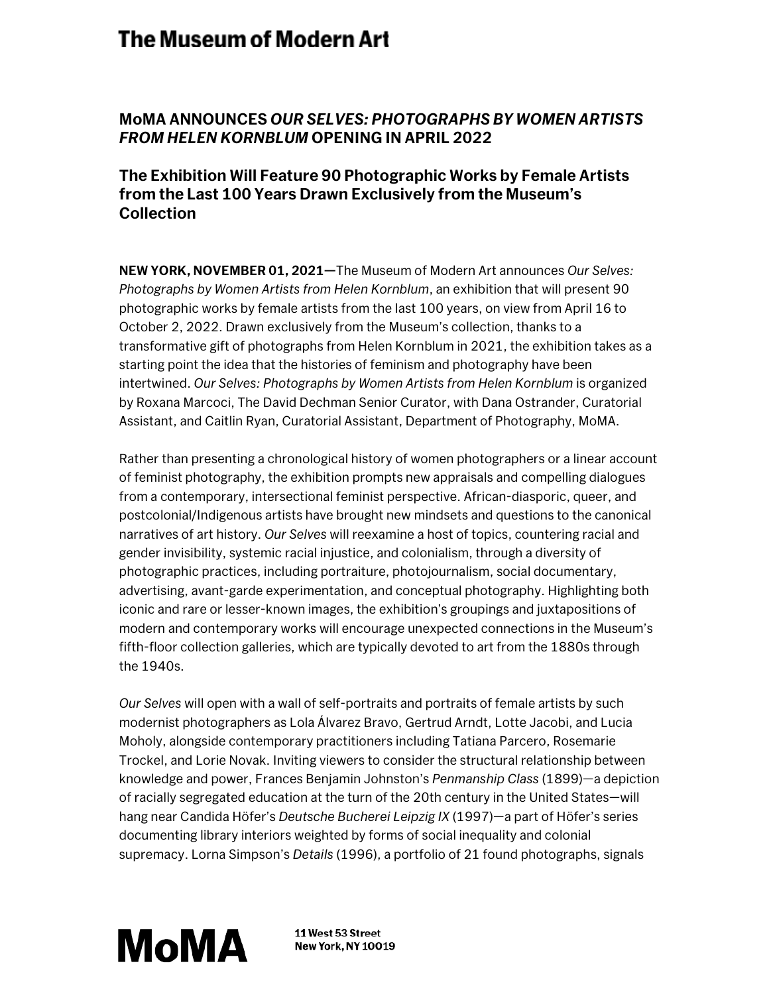# The Museum of Modern Art

## **MoMA ANNOUNCES** *OUR SELVES: PHOTOGRAPHS BY WOMEN ARTISTS FROM HELEN KORNBLUM* **OPENING IN APRIL 2022**

### **The Exhibition Will Feature 90 Photographic Works by Female Artists from the Last 100 Years Drawn Exclusively from the Museum's Collection**

**NEW YORK, NOVEMBER 01, 2021—**The Museum of Modern Art announces *Our Selves: Photographs by Women Artists from Helen Kornblum*, an exhibition that will present 90 photographic works by female artists from the last 100 years, on view from April 16 to October 2, 2022. Drawn exclusively from the Museum's collection, thanks to a transformative gift of photographs from Helen Kornblum in 2021, the exhibition takes as a starting point the idea that the histories of feminism and photography have been intertwined. *Our Selves: Photographs by Women Artists from Helen Kornblum* is organized by Roxana Marcoci, The David Dechman Senior Curator, with Dana Ostrander, Curatorial Assistant, and Caitlin Ryan, Curatorial Assistant, Department of Photography, MoMA.

Rather than presenting a chronological history of women photographers or a linear account of feminist photography, the exhibition prompts new appraisals and compelling dialogues from a contemporary, intersectional feminist perspective. African-diasporic, queer, and postcolonial/Indigenous artists have brought new mindsets and questions to the canonical narratives of art history. *Our Selves* will reexamine a host of topics, countering racial and gender invisibility, systemic racial injustice, and colonialism, through a diversity of photographic practices, including portraiture, photojournalism, social documentary, advertising, avant-garde experimentation, and conceptual photography. Highlighting both iconic and rare or lesser-known images, the exhibition's groupings and juxtapositions of modern and contemporary works will encourage unexpected connections in the Museum's fifth-floor collection galleries, which are typically devoted to art from the 1880s through the 1940s.

*Our Selves* will open with a wall of self-portraits and portraits of female artists by such modernist photographers as Lola Álvarez Bravo, Gertrud Arndt, Lotte Jacobi, and Lucia Moholy, alongside contemporary practitioners including Tatiana Parcero, Rosemarie Trockel, and Lorie Novak. Inviting viewers to consider the structural relationship between knowledge and power, Frances Benjamin Johnston's *Penmanship Class* (1899)—a depiction of racially segregated education at the turn of the 20th century in the United States—will hang near Candida Höfer's *Deutsche Bucherei Leipzig IX* (1997)—a part of Höfer's series documenting library interiors weighted by forms of social inequality and colonial supremacy. Lorna Simpson's *Details* (1996), a portfolio of 21 found photographs, signals



11 West 53 Street **New York, NY 10019**